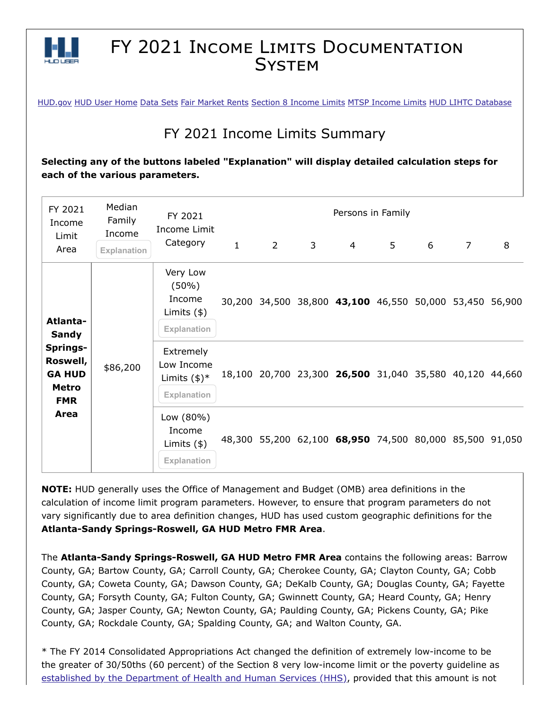

## FY 2021 INCOME LIMITS DOCUMENTATION **SYSTEM**

[HUD.gov](https://www.hud.gov/) [HUD User Home](https://www.huduser.gov/portal/index.html) [Data Sets](https://www.huduser.gov/portal/datasets/pdrdatas.html) [Fair Market Rents](https://www.huduser.gov/portal/datasets/fmr.html) [Section 8 Income Limits](https://www.huduser.gov/portal/datasets/il.html) [MTSP Income Limits](https://www.huduser.gov/portal/datasets/mtsp.html) [HUD LIHTC Database](https://www.huduser.gov/portal/datasets/lihtc.html)

## FY 2021 Income Limits Summary

**Selecting any of the buttons labeled "Explanation" will display detailed calculation steps for each of the various parameters.**

| FY 2021<br>Income<br>Limit<br>Area                                                                      | Median<br>Family<br>Income | FY 2021<br>Income Limit<br>Category                                  | Persons in Family |             |                |                                                         |   |   |                |   |
|---------------------------------------------------------------------------------------------------------|----------------------------|----------------------------------------------------------------------|-------------------|-------------|----------------|---------------------------------------------------------|---|---|----------------|---|
|                                                                                                         | <b>Explanation</b>         |                                                                      | $\mathbf{1}$      | $2^{\circ}$ | $\overline{3}$ | $\overline{4}$                                          | 5 | 6 | $\overline{7}$ | 8 |
| Atlanta-<br><b>Sandy</b><br>Springs-<br>Roswell,<br><b>GA HUD</b><br><b>Metro</b><br><b>FMR</b><br>Area | \$86,200                   | Very Low<br>$(50\%)$<br>Income<br>Limits $(*)$<br><b>Explanation</b> |                   |             |                | 30,200 34,500 38,800 43,100 46,550 50,000 53,450 56,900 |   |   |                |   |
|                                                                                                         |                            | Extremely<br>Low Income<br>Limits $(\$)^*$<br>Explanation            |                   |             |                | 18,100 20,700 23,300 26,500 31,040 35,580 40,120 44,660 |   |   |                |   |
|                                                                                                         |                            | Low (80%)<br>Income<br>Limits $(*)$<br>Explanation                   |                   |             |                | 48,300 55,200 62,100 68,950 74,500 80,000 85,500 91,050 |   |   |                |   |

**NOTE:** HUD generally uses the Office of Management and Budget (OMB) area definitions in the calculation of income limit program parameters. However, to ensure that program parameters do not vary significantly due to area definition changes, HUD has used custom geographic definitions for the **Atlanta-Sandy Springs-Roswell, GA HUD Metro FMR Area**.

The **Atlanta-Sandy Springs-Roswell, GA HUD Metro FMR Area** contains the following areas: Barrow County, GA; Bartow County, GA; Carroll County, GA; Cherokee County, GA; Clayton County, GA; Cobb County, GA; Coweta County, GA; Dawson County, GA; DeKalb County, GA; Douglas County, GA; Fayette County, GA; Forsyth County, GA; Fulton County, GA; Gwinnett County, GA; Heard County, GA; Henry County, GA; Jasper County, GA; Newton County, GA; Paulding County, GA; Pickens County, GA; Pike County, GA; Rockdale County, GA; Spalding County, GA; and Walton County, GA.

\* The FY 2014 Consolidated Appropriations Act changed the definition of extremely low-income to be the greater of 30/50ths (60 percent) of the Section 8 very low-income limit or the poverty guideline as [established by the Department of Health and Human Services \(HHS\)](https://www.federalregister.gov/documents/2021/02/01/2021-01969/annual-update-of-the-hhs-poverty-guidelines), provided that this amount is not